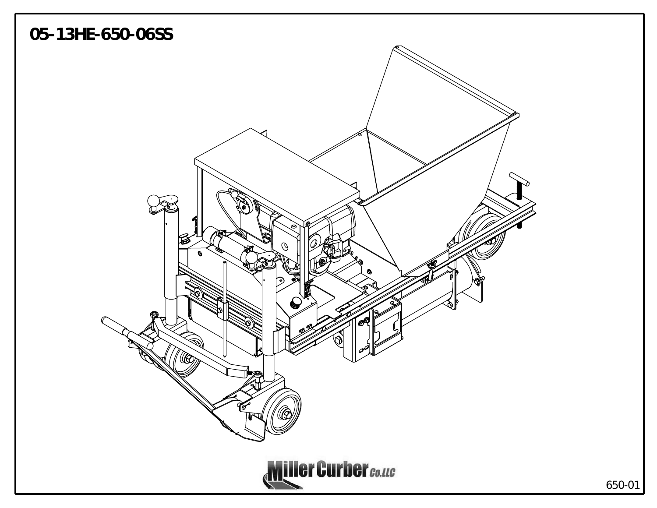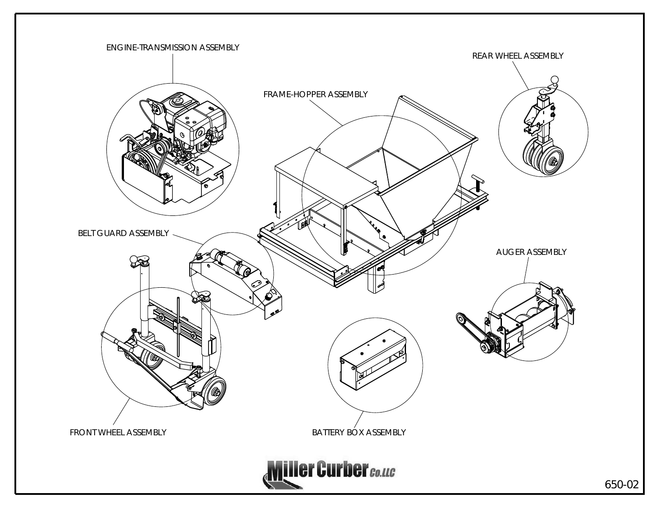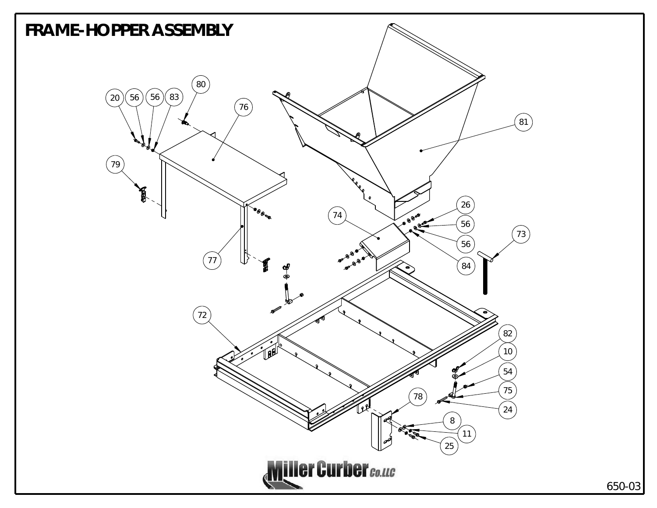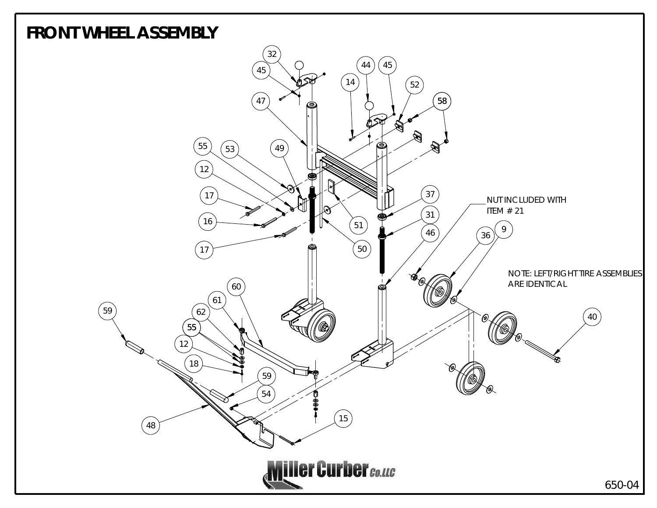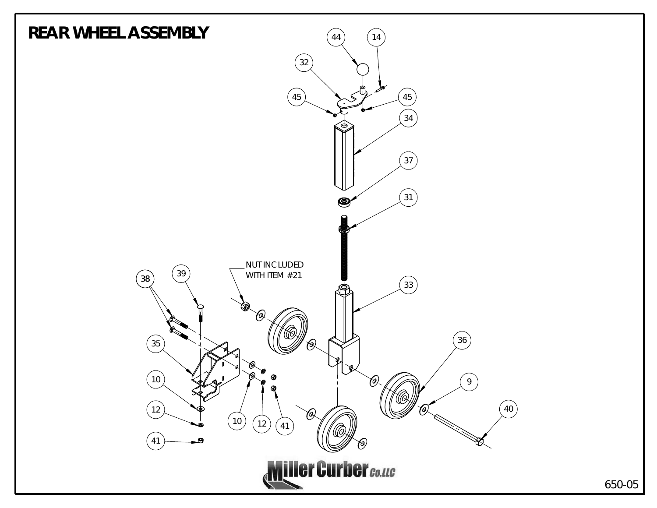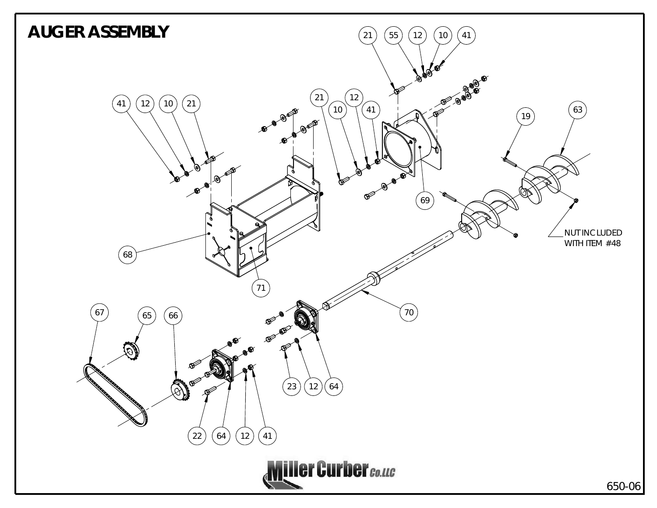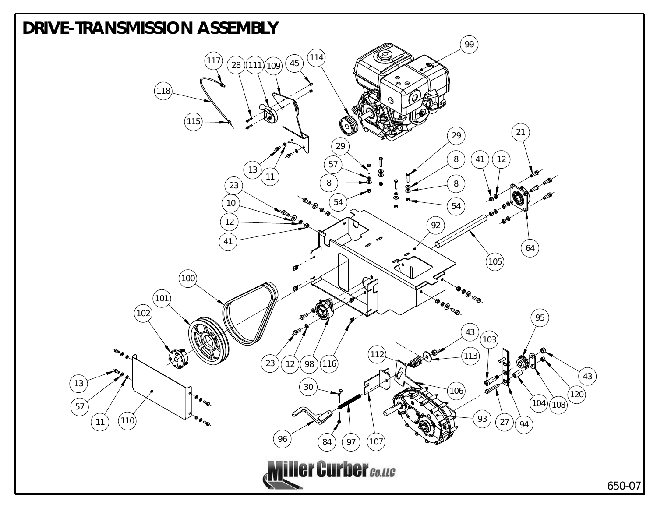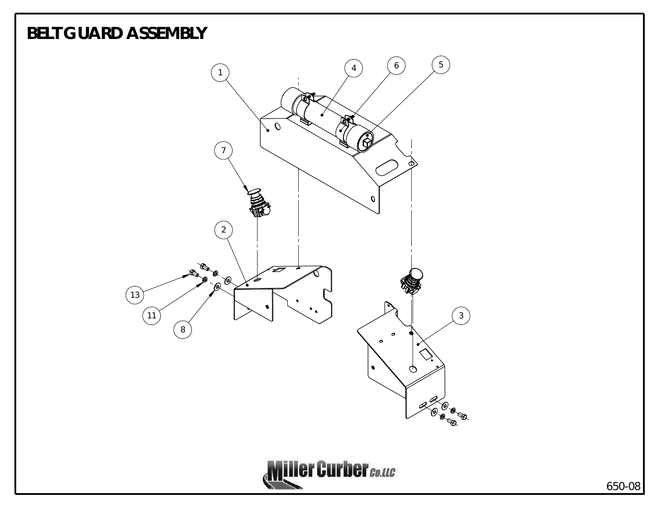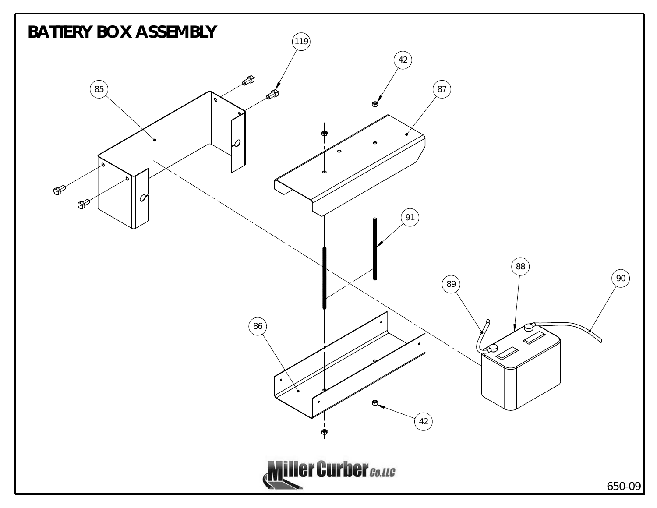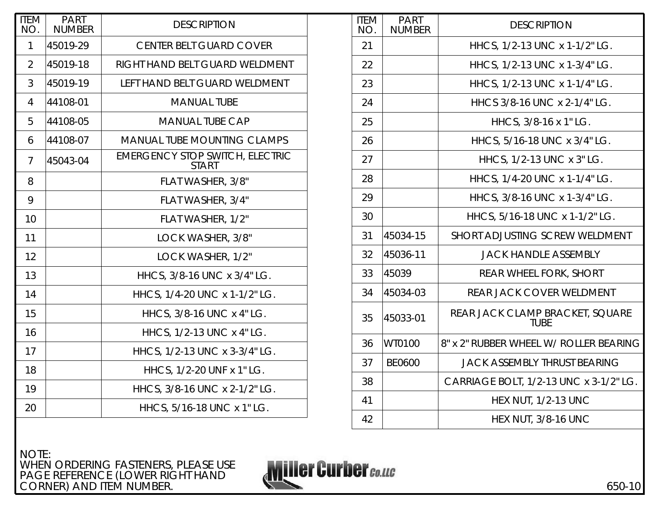| <b>ITEM</b><br>NO. | <b>PART</b><br><b>NUMBER</b> | <b>DESCRIPTION</b>                                     |
|--------------------|------------------------------|--------------------------------------------------------|
| 1                  | 45019-29                     | <b>CENTER BELT GUARD COVER</b>                         |
| 2                  | 45019-18                     | RIGHT HAND BELT GUARD WELDMENT                         |
| 3                  | 45019-19                     | LEFT HAND BELT GUARD WELDMENT                          |
| 4                  | 44108-01                     | <b>MANUAL TUBE</b>                                     |
| 5                  | 44108-05                     | <b>MANUAL TUBE CAP</b>                                 |
| 6                  | 44108-07                     | <b>MANUAL TUBE MOUNTING CLAMPS</b>                     |
| 7                  | 45043-04                     | <b>EMERGENCY STOP SWITCH, ELECTRIC</b><br><b>START</b> |
| 8                  |                              | FLAT WASHER, 3/8"                                      |
| 9                  |                              | FLAT WASHER, 3/4"                                      |
| 10                 |                              | FLAT WASHER, 1/2"                                      |
| 11                 |                              | LOCK WASHER, 3/8"                                      |
| 12                 |                              | LOCK WASHER, 1/2"                                      |
| 13                 |                              | HHCS, 3/8-16 UNC x 3/4" LG.                            |
| 14                 |                              | HHCS, 1/4-20 UNC x 1-1/2" LG.                          |
| 15                 |                              | HHCS, 3/8-16 UNC x 4" LG.                              |
| 16                 |                              | HHCS, 1/2-13 UNC x 4" LG.                              |
| 17                 |                              | HHCS, 1/2-13 UNC x 3-3/4" LG.                          |
| 18                 |                              | HHCS, 1/2-20 UNF x 1" LG.                              |
| 19                 |                              | HHCS, 3/8-16 UNC x 2-1/2" LG.                          |
| 20                 |                              | HHCS, 5/16-18 UNC x 1" LG.                             |

| <b>ITEM</b><br>NO. | <b>PART</b><br><b>NUMBER</b> | <b>DESCRIPTION</b>                             |
|--------------------|------------------------------|------------------------------------------------|
| 21                 |                              | HHCS, 1/2-13 UNC x 1-1/2" LG.                  |
| 22                 |                              | HHCS, 1/2-13 UNC x 1-3/4" LG.                  |
| 23                 |                              | HHCS, 1/2-13 UNC x 1-1/4" LG.                  |
| 24                 |                              | HHCS 3/8-16 UNC x 2-1/4" LG.                   |
| 25                 |                              | HHCS, 3/8-16 x 1" LG.                          |
| 26                 |                              | HHCS, 5/16-18 UNC x 3/4" LG.                   |
| 27                 |                              | HHCS, 1/2-13 UNC x 3" LG.                      |
| 28                 |                              | HHCS, 1/4-20 UNC x 1-1/4" LG.                  |
| 29                 |                              | HHCS, 3/8-16 UNC x 1-3/4" LG.                  |
| 30                 |                              | HHCS, 5/16-18 UNC x 1-1/2" LG.                 |
| 31                 | 45034-15                     | <b>SHORT ADJUSTING SCREW WELDMENT</b>          |
| 32                 | 45036-11                     | <b>JACK HANDLE ASSEMBLY</b>                    |
| 33                 | 45039                        | <b>REAR WHEEL FORK, SHORT</b>                  |
| 34                 | 45034-03                     | REAR JACK COVER WELDMENT                       |
| 35                 | 45033-01                     | REAR JACK CLAMP BRACKET, SQUARE<br><b>TUBE</b> |
| 36                 | WT0100                       | 8" x 2" RUBBER WHEEL W/ ROLLER BEARING         |
| 37                 | <b>BE0600</b>                | <b>JACK ASSEMBLY THRUST BEARING</b>            |
| 38                 |                              | CARRIAGE BOLT, 1/2-13 UNC x 3-1/2" LG.         |
| 41                 |                              | <b>HEX NUT, 1/2-13 UNC</b>                     |
| 42                 |                              | <b>HEX NUT, 3/8-16 UNC</b>                     |

NOTE: WHEN ORDERING FASTENERS, PLEASE USE PAGE REFERENCE (LOWER RIGHT HAND CORNER) AND ITEM NUMBER.

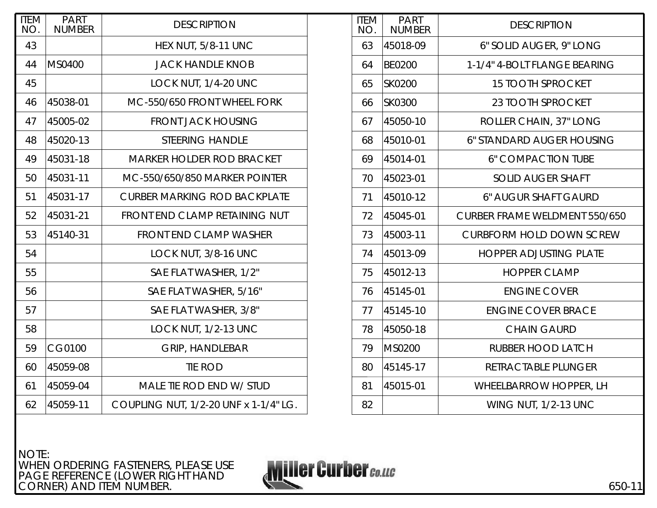| <b>ITEM</b><br>NO. | <b>PART</b><br><b>NUMBER</b> | <b>DESCRIPTION</b>                    |
|--------------------|------------------------------|---------------------------------------|
| 43                 |                              | <b>HEX NUT, 5/8-11 UNC</b>            |
| 44                 | MS0400                       | <b>JACK HANDLE KNOB</b>               |
| 45                 |                              | LOCK NUT, 1/4-20 UNC                  |
| 46                 | 45038-01                     | MC-550/650 FRONT WHEEL FORK           |
| 47                 | 45005-02                     | <b>FRONT JACK HOUSING</b>             |
| 48                 | 45020-13                     | <b>STEERING HANDLE</b>                |
| 49                 | 45031-18                     | <b>MARKER HOLDER ROD BRACKET</b>      |
| 50                 | 45031-11                     | MC-550/650/850 MARKER POINTER         |
| 51                 | 45031-17                     | <b>CURBER MARKING ROD BACKPLATE</b>   |
| 52                 | 45031-21                     | FRONT END CLAMP RETAINING NUT         |
| 53                 | 45140-31                     | <b>FRONT END CLAMP WASHER</b>         |
| 54                 |                              | LOCK NUT, 3/8-16 UNC                  |
| 55                 |                              | SAE FLAT WASHER, 1/2"                 |
| 56                 |                              | SAE FLAT WASHER, 5/16"                |
| 57                 |                              | SAE FLAT WASHER, 3/8"                 |
| 58                 |                              | LOCK NUT, 1/2-13 UNC                  |
| 59                 | CG0100                       | <b>GRIP, HANDLEBAR</b>                |
| 60                 | 45059-08                     | <b>TIE ROD</b>                        |
| 61                 | 45059-04                     | MALE TIE ROD END W/ STUD              |
| 62                 | 45059-11                     | COUPLING NUT, 1/2-20 UNF x 1-1/4" LG. |

| <b>ITEM</b><br>NO. | <b>PART</b><br><b>NUMBER</b> | <b>DESCRIPTION</b>                   |
|--------------------|------------------------------|--------------------------------------|
| 63                 | 45018-09                     | 6" SOLID AUGER, 9" LONG              |
| 64                 | <b>BE0200</b>                | 1-1/4" 4-BOLT FLANGE BEARING         |
| 65                 | <b>SK0200</b>                | <b>15 TOOTH SPROCKET</b>             |
| 66                 | SK0300                       | 23 TOOTH SPROCKET                    |
| 67                 | 45050-10                     | ROLLER CHAIN, 37" LONG               |
| 68                 | 45010-01                     | 6" STANDARD AUGER HOUSING            |
| 69                 | 45014-01                     | <b>6" COMPACTION TUBE</b>            |
| 70                 | 45023-01                     | <b>SOLID AUGER SHAFT</b>             |
| 71                 | 45010-12                     | <b>6" AUGUR SHAFT GAURD</b>          |
| 72                 | 45045-01                     | <b>CURBER FRAME WELDMENT 550/650</b> |
| 73                 | 45003-11                     | <b>CURBFORM HOLD DOWN SCREW</b>      |
| 74                 | 45013-09                     | <b>HOPPER ADJUSTING PLATE</b>        |
| 75                 | 45012-13                     | <b>HOPPER CLAMP</b>                  |
| 76                 | 45145-01                     | <b>ENGINE COVER</b>                  |
| 77                 | 45145-10                     | <b>ENGINE COVER BRACE</b>            |
| 78                 | 45050-18                     | <b>CHAIN GAURD</b>                   |
| 79                 | <b>MS0200</b>                | RUBBER HOOD LATCH                    |
| 80                 | 45145-17                     | RETRACTABLE PLUNGER                  |
| 81                 | 45015-01                     | <b>WHEELBARROW HOPPER, LH</b>        |
| 82                 |                              | <b>WING NUT, 1/2-13 UNC</b>          |

NOTE: WHEN ORDERING FASTENERS, PLEASE USE PAGE REFERENCE (LOWER RIGHT HAND CORNER) AND ITEM NUMBER.